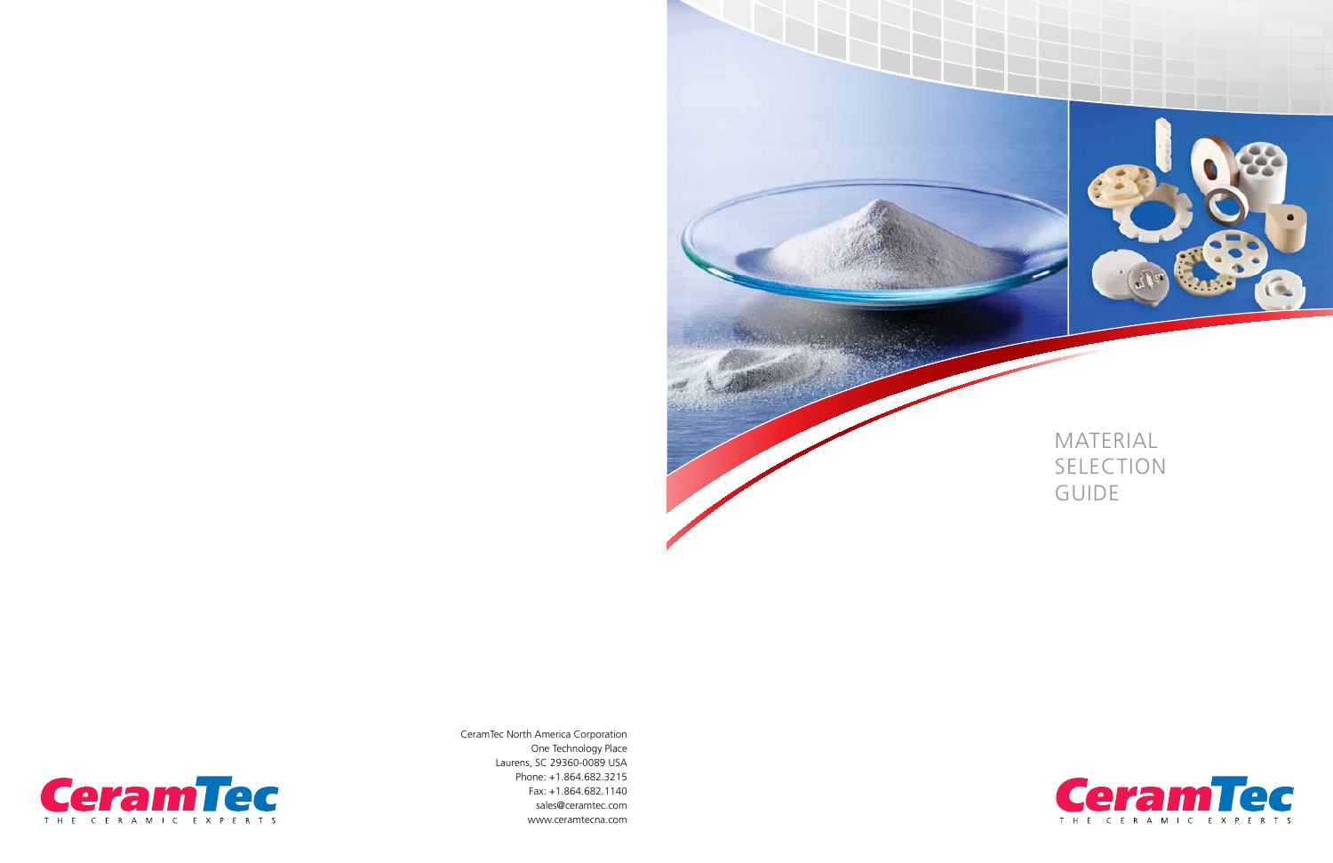CeramTec North America Corporation One Technology Place Laurens, SC 29360-0089 USA Phone: +1.864.682.3215 Fax: +1.864.682.1140 sales@ceramtec.com www.ceramtecna.com